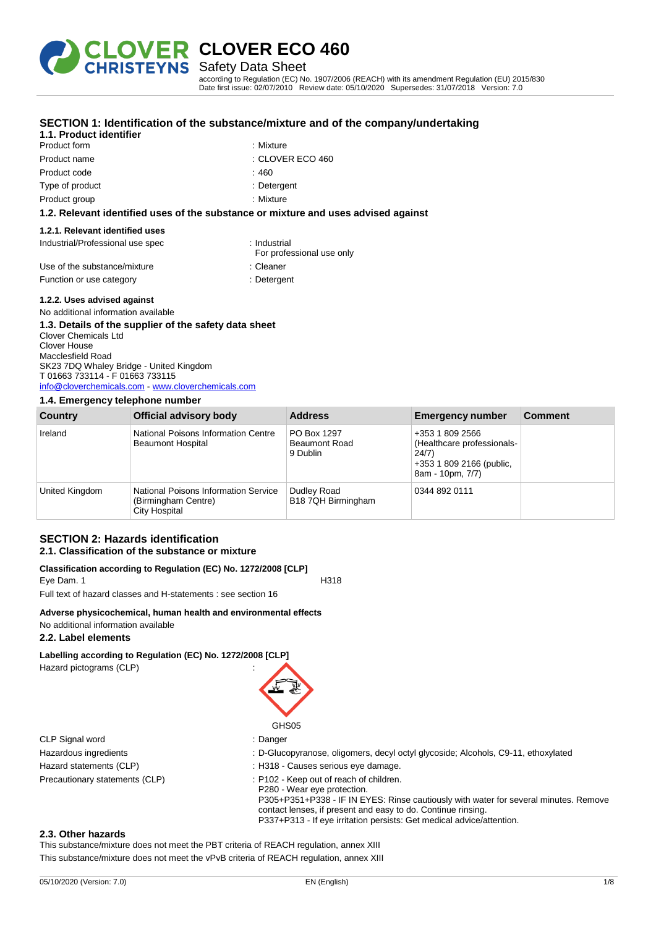

**CLOVER ECO 460** Safety Data Sheet

**SECTION 1: Identification of the substance/mixture and of the company/undertaking**

according to Regulation (EC) No. 1907/2006 (REACH) with its amendment Regulation (EU) 2015/830 Date first issue: 02/07/2010 Review date: 05/10/2020 Supersedes: 31/07/2018 Version: 7.0

### **1.1. Product identifier** Product form **: Mixture** Product name  $\qquad \qquad : \text{CLOVER ECO } 460$ Product code : 460 Type of product in the set of the set of the set of the set of the set of the set of the set of the set of the set of the set of the set of the set of the set of the set of the set of the set of the set of the set of the s Product group : Mixture **1.2. Relevant identified uses of the substance or mixture and uses advised against 1.2.1. Relevant identified uses** Industrial/Professional use spec : Industrial For professional use only Use of the substance/mixture in the substance in the set of the substance in the set of the substance in the substance in the set of the substance in the substance in the set of the substance in the set of the set of the s Function or use category **Example 20** in Detergent **1.2.2. Uses advised against**

No additional information available

#### **1.3. Details of the supplier of the safety data sheet** Clover Chemicals Ltd Clover House Macclesfield Road SK23 7DQ Whaley Bridge - United Kingdom T 01663 733114 - F 01663 733115 [info@cloverchemicals.com](mailto:info@cloverchemicals.com) - <www.cloverchemicals.com>

#### **1.4. Emergency telephone number**

| . .<br>Country | Official advisory body                                                       | <b>Address</b>                                  | <b>Emergency number</b>                                                                               | <b>Comment</b> |
|----------------|------------------------------------------------------------------------------|-------------------------------------------------|-------------------------------------------------------------------------------------------------------|----------------|
| Ireland        | National Poisons Information Centre<br><b>Beaumont Hospital</b>              | PO Box 1297<br><b>Beaumont Road</b><br>9 Dublin | +353 1 809 2566<br>(Healthcare professionals-<br>24/7<br>+353 1 809 2166 (public,<br>8am - 10pm, 7/7) |                |
| United Kingdom | National Poisons Information Service<br>(Birmingham Centre)<br>City Hospital | Dudley Road<br>B18 7QH Birmingham               | 0344 892 0111                                                                                         |                |

#### **SECTION 2: Hazards identification 2.1. Classification of the substance or mixture**

#### **Classification according to Regulation (EC) No. 1272/2008 [CLP]** Eve Dam. 1 H318

Full text of hazard classes and H-statements : see section 16

## **Adverse physicochemical, human health and environmental effects**

No additional information available

## **2.2. Label elements**

## **Labelling according to Regulation (EC) No. 1272/2008 [CLP]** Hazard pictograms (CLP) :



- CLP Signal word : Danger
- Hazardous ingredients : D-Glucopyranose, oligomers, decyl octyl glycoside; Alcohols, C9-11, ethoxylated
- Hazard statements (CLP)  $\qquad \qquad$ : H318 Causes serious eye damage.
- Precautionary statements (CLP) : P102 Keep out of reach of children.
	- P280 Wear eye protection. P305+P351+P338 - IF IN EYES: Rinse cautiously with water for several minutes. Remove contact lenses, if present and easy to do. Continue rinsing. P337+P313 - If eye irritation persists: Get medical advice/attention.

#### **2.3. Other hazards**

This substance/mixture does not meet the PBT criteria of REACH regulation, annex XIII

This substance/mixture does not meet the vPvB criteria of REACH regulation, annex XIII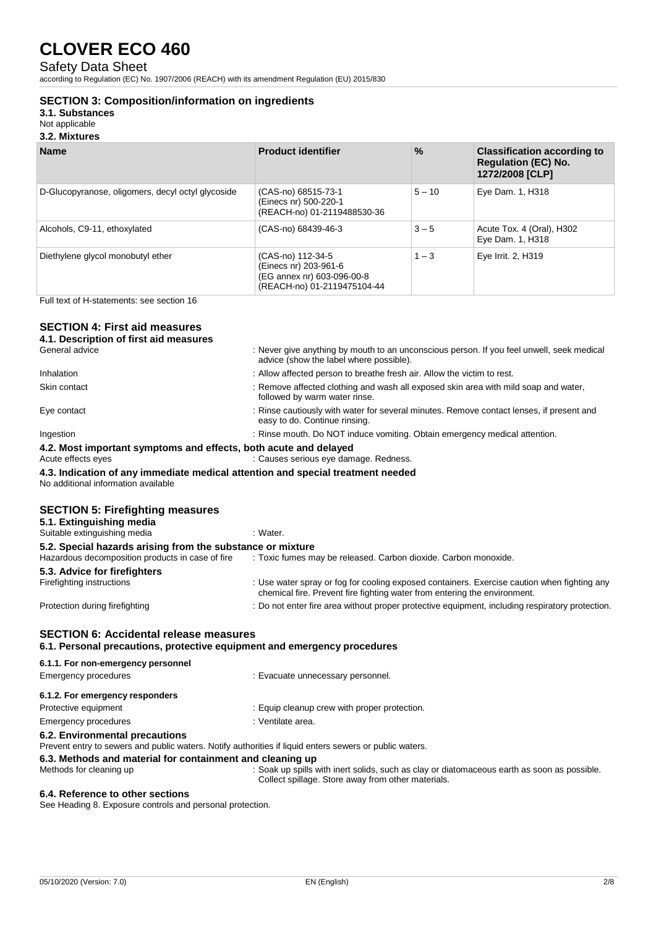## Safety Data Sheet

according to Regulation (EC) No. 1907/2006 (REACH) with its amendment Regulation (EU) 2015/830

### **SECTION 3: Composition/information on ingredients**

**3.1. Substances**

Not applicable

**3.2. Mixtures**

| <b>Name</b>                                       | <b>Product identifier</b>                                                                               | $\frac{9}{6}$ | <b>Classification according to</b><br><b>Regulation (EC) No.</b><br>1272/2008 [CLP] |
|---------------------------------------------------|---------------------------------------------------------------------------------------------------------|---------------|-------------------------------------------------------------------------------------|
| D-Glucopyranose, oligomers, decyl octyl glycoside | (CAS-no) 68515-73-1<br>(Einecs nr) 500-220-1<br>(REACH-no) 01-2119488530-36                             | $5 - 10$      | Eye Dam. 1, H318                                                                    |
| Alcohols, C9-11, ethoxylated                      | (CAS-no) 68439-46-3                                                                                     | $3 - 5$       | Acute Tox. 4 (Oral), H302<br>Eye Dam. 1, H318                                       |
| Diethylene glycol monobutyl ether                 | (CAS-no) 112-34-5<br>(Einecs nr) 203-961-6<br>(EG annex nr) 603-096-00-8<br>(REACH-no) 01-2119475104-44 | $1 - 3$       | Eye Irrit. 2, H319                                                                  |

Full text of H-statements: see section 16

### **SECTION 4: First aid measures**

|  |  |  |  |  |  |  | 4.1. Description of first aid measures |
|--|--|--|--|--|--|--|----------------------------------------|
|--|--|--|--|--|--|--|----------------------------------------|

| General advice                                                                                                         | : Never give anything by mouth to an unconscious person. If you feel unwell, seek medical<br>advice (show the label where possible). |
|------------------------------------------------------------------------------------------------------------------------|--------------------------------------------------------------------------------------------------------------------------------------|
| Inhalation                                                                                                             | : Allow affected person to breathe fresh air. Allow the victim to rest.                                                              |
| Skin contact                                                                                                           | : Remove affected clothing and wash all exposed skin area with mild soap and water,<br>followed by warm water rinse.                 |
| Eye contact                                                                                                            | : Rinse cautiously with water for several minutes. Remove contact lenses, if present and<br>easy to do. Continue rinsing.            |
| Ingestion                                                                                                              | : Rinse mouth. Do NOT induce vomiting. Obtain emergency medical attention.                                                           |
| 4.2. Most important symptoms and effects, both acute and delayed<br>Acute effects eyes                                 | : Causes serious eye damage. Redness.                                                                                                |
| 4.3. Indication of any immediate medical attention and special treatment needed<br>No additional information available |                                                                                                                                      |
| <b>SECTION 5: Firefighting measures</b>                                                                                |                                                                                                                                      |

| : Water.                                                                                                                                                                 |
|--------------------------------------------------------------------------------------------------------------------------------------------------------------------------|
| 5.2. Special hazards arising from the substance or mixture                                                                                                               |
| : Toxic fumes may be released. Carbon dioxide. Carbon monoxide.                                                                                                          |
|                                                                                                                                                                          |
| : Use water spray or fog for cooling exposed containers. Exercise caution when fighting any<br>chemical fire. Prevent fire fighting water from entering the environment. |
| : Do not enter fire area without proper protective equipment, including respiratory protection.                                                                          |
|                                                                                                                                                                          |

## **SECTION 6: Accidental release measures**

**6.1. Personal precautions, protective equipment and emergency procedures**

| 6.1.1. For non-emergency personnel                        |                                                                                                         |
|-----------------------------------------------------------|---------------------------------------------------------------------------------------------------------|
| Emergency procedures                                      | : Evacuate unnecessary personnel.                                                                       |
| 6.1.2. For emergency responders                           |                                                                                                         |
| Protective equipment                                      | : Equip cleanup crew with proper protection.                                                            |
| <b>Emergency procedures</b>                               | : Ventilate area.                                                                                       |
| 6.2. Environmental precautions                            | Prevent entry to sewers and public waters. Notify authorities if liquid enters sewers or public waters. |
| 6.3. Methods and material for containment and cleaning up |                                                                                                         |

Methods for cleaning up : Soak up spills with inert solids, such as clay or diatomaceous earth as soon as possible. Collect spillage. Store away from other materials.

#### **6.4. Reference to other sections**

See Heading 8. Exposure controls and personal protection.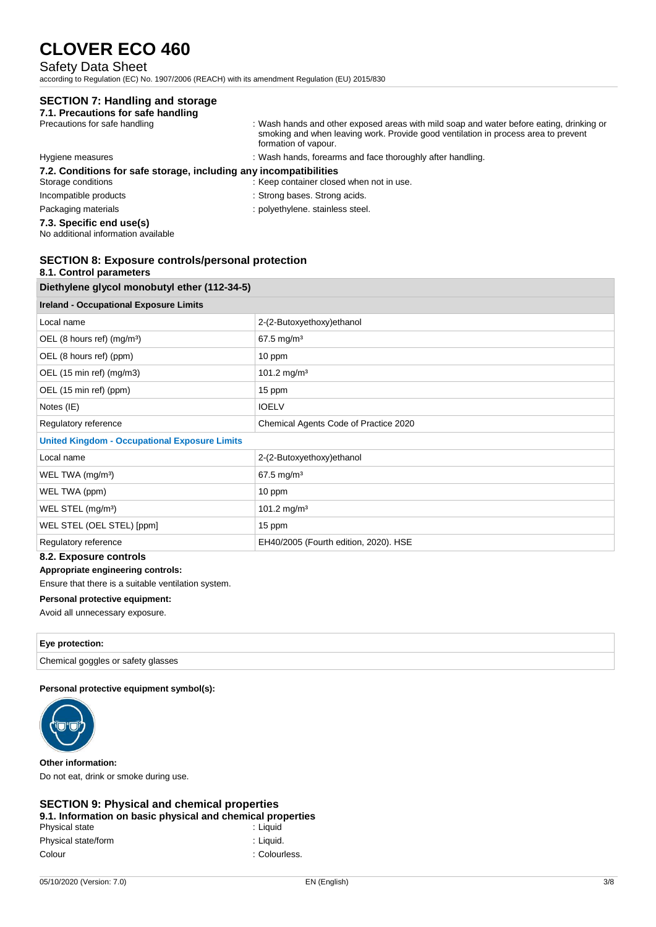## Safety Data Sheet

according to Regulation (EC) No. 1907/2006 (REACH) with its amendment Regulation (EU) 2015/830

## **SECTION 7: Handling and storage**

| 7.1. Precautions for safe handling                                |                                                                                                                                                                                                        |
|-------------------------------------------------------------------|--------------------------------------------------------------------------------------------------------------------------------------------------------------------------------------------------------|
| Precautions for safe handling                                     | : Wash hands and other exposed areas with mild soap and water before eating, drinking or<br>smoking and when leaving work. Provide good ventilation in process area to prevent<br>formation of vapour. |
| Hygiene measures                                                  | : Wash hands, forearms and face thoroughly after handling.                                                                                                                                             |
| 7.2. Conditions for safe storage, including any incompatibilities |                                                                                                                                                                                                        |
| Storage conditions                                                | : Keep container closed when not in use.                                                                                                                                                               |
| Incompatible products                                             | : Strong bases. Strong acids.                                                                                                                                                                          |
| Packaging materials                                               | : polyethylene. stainless steel.                                                                                                                                                                       |
| 7.3. Specific end use(s)                                          |                                                                                                                                                                                                        |

No additional information available

## **SECTION 8: Exposure controls/personal protection**

### **8.1. Control parameters**

| Diethylene glycol monobutyl ether (112-34-5)         |                                       |  |
|------------------------------------------------------|---------------------------------------|--|
| <b>Ireland - Occupational Exposure Limits</b>        |                                       |  |
| Local name                                           | 2-(2-Butoxyethoxy) ethanol            |  |
| OEL (8 hours ref) $(mg/m3)$                          | 67.5 mg/m <sup>3</sup>                |  |
| OEL (8 hours ref) (ppm)                              | 10 ppm                                |  |
| OEL (15 min ref) (mg/m3)                             | 101.2 mg/m <sup>3</sup>               |  |
| OEL (15 min ref) (ppm)                               | 15 ppm                                |  |
| Notes (IE)                                           | <b>IOELV</b>                          |  |
| Regulatory reference                                 | Chemical Agents Code of Practice 2020 |  |
| <b>United Kingdom - Occupational Exposure Limits</b> |                                       |  |
| Local name                                           | 2-(2-Butoxyethoxy)ethanol             |  |
| WEL TWA (mg/m <sup>3</sup> )                         | 67.5 mg/m <sup>3</sup>                |  |
| WEL TWA (ppm)                                        | 10 ppm                                |  |
| WEL STEL (mg/m <sup>3</sup> )                        | 101.2 mg/m <sup>3</sup>               |  |
| WEL STEL (OEL STEL) [ppm]                            | 15 ppm                                |  |
| Regulatory reference                                 | EH40/2005 (Fourth edition, 2020). HSE |  |
|                                                      |                                       |  |

## **8.2. Exposure controls**

#### **Appropriate engineering controls:**

Ensure that there is a suitable ventilation system.

#### **Personal protective equipment:**

Avoid all unnecessary exposure.

#### **Eye protection:**

Chemical goggles or safety glasses

#### **Personal protective equipment symbol(s):**



**Other information:** Do not eat, drink or smoke during use.

#### **SECTION 9: Physical and chemical properties 9.1. Information on basic physical and chemical properties**

| J. I. MNOHMANON ON DAJID DNYJIDAI ANG UNGHNOAI DIODON. |               |
|--------------------------------------------------------|---------------|
| Physical state                                         | : Liauid      |
| Physical state/form                                    | : Liauid.     |
| Colour                                                 | : Colourless. |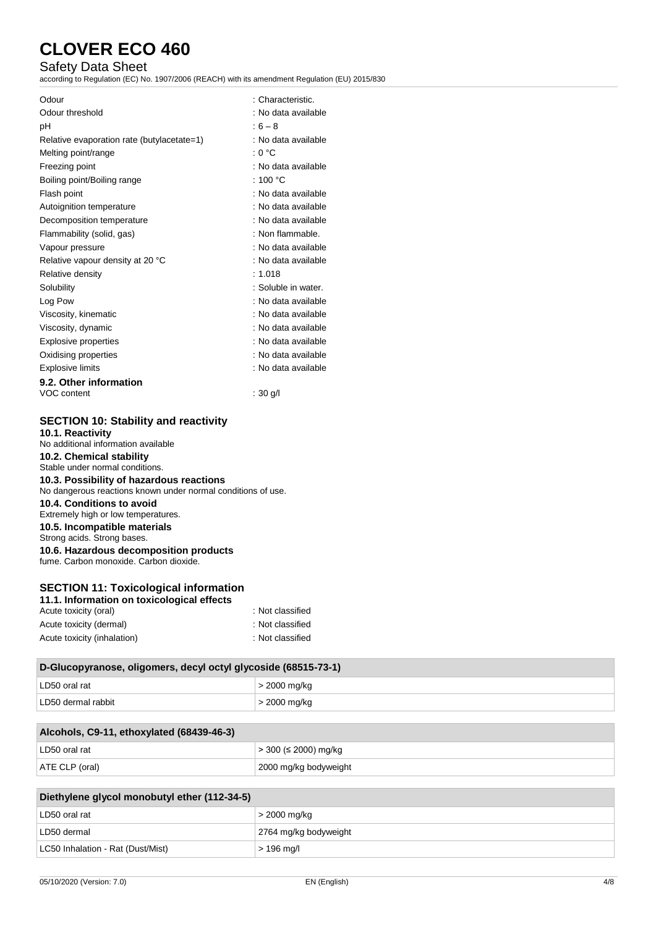## Safety Data Sheet

according to Regulation (EC) No. 1907/2006 (REACH) with its amendment Regulation (EU) 2015/830

| Odour                                      | : Characteristic.   |
|--------------------------------------------|---------------------|
| Odour threshold                            | : No data available |
| рH                                         | $:6-8$              |
| Relative evaporation rate (butylacetate=1) | : No data available |
| Melting point/range                        | : 0 °C              |
| Freezing point                             | : No data available |
| Boiling point/Boiling range                | : 100 $^{\circ}$ C  |
| Flash point                                | : No data available |
| Autoignition temperature                   | : No data available |
| Decomposition temperature                  | : No data available |
| Flammability (solid, gas)                  | : Non flammable.    |
| Vapour pressure                            | : No data available |
| Relative vapour density at 20 °C           | : No data available |
| Relative density                           | : 1.018             |
| Solubility                                 | : Soluble in water. |
| Log Pow                                    | : No data available |
| Viscosity, kinematic                       | : No data available |
| Viscosity, dynamic                         | : No data available |
| Explosive properties                       | : No data available |
| Oxidising properties                       | : No data available |
| <b>Explosive limits</b>                    | : No data available |
| 9.2. Other information                     |                     |
| VOC content                                | ∶ 30 g/l            |

## **SECTION 10: Stability and reactivity**

**10.1. Reactivity** No additional information available **10.2. Chemical stability** Stable under normal conditions. **10.3. Possibility of hazardous reactions** No dangerous reactions known under normal conditions of use. **10.4. Conditions to avoid** Extremely high or low temperatures. **10.5. Incompatible materials** Strong acids. Strong bases. **10.6. Hazardous decomposition products** fume. Carbon monoxide. Carbon dioxide.

## **SECTION 11: Toxicological information**

| 11.1. Information on toxicological effects |                  |
|--------------------------------------------|------------------|
| Acute toxicity (oral)                      | : Not classified |
| Acute toxicity (dermal)                    | : Not classified |
| Acute toxicity (inhalation)                | : Not classified |

| D-Glucopyranose, oligomers, decyl octyl glycoside (68515-73-1) |              |  |
|----------------------------------------------------------------|--------------|--|
| LD50 oral rat                                                  | > 2000 mg/kg |  |
| LD50 dermal rabbit                                             | > 2000 mg/kg |  |

| Alcohols, C9-11, ethoxylated (68439-46-3) |                       |  |
|-------------------------------------------|-----------------------|--|
| LD50 oral rat                             | > 300 (≤ 2000) mg/kg  |  |
| ATE CLP (oral)                            | 2000 mg/kg bodyweight |  |

| Diethylene glycol monobutyl ether (112-34-5) |                       |  |
|----------------------------------------------|-----------------------|--|
| LD50 oral rat                                | > 2000 mg/kg          |  |
| LD50 dermal                                  | 2764 mg/kg bodyweight |  |
| LC50 Inhalation - Rat (Dust/Mist)            | > 196 mg/l            |  |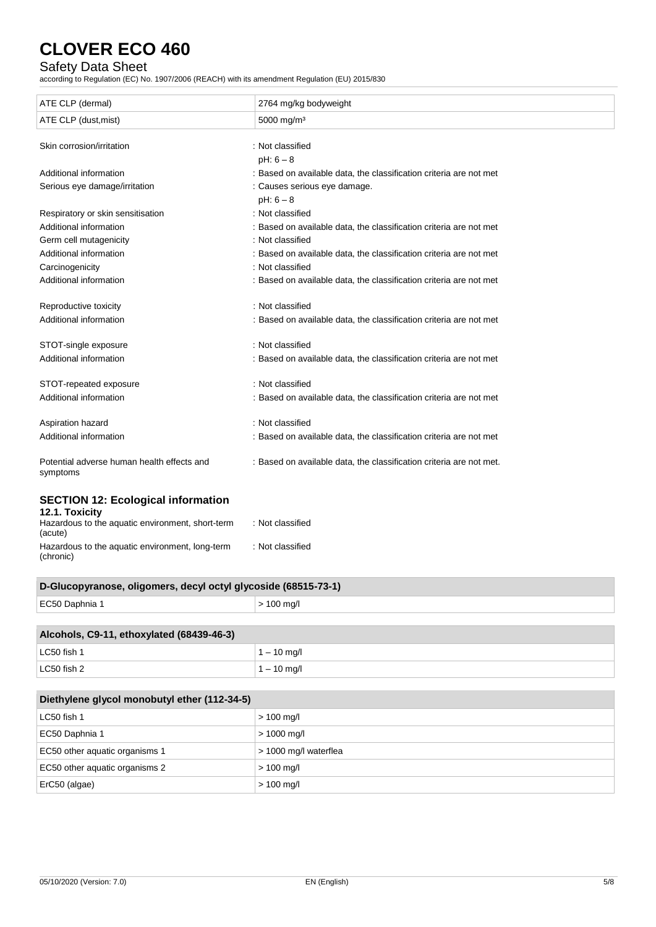## Safety Data Sheet

according to Regulation (EC) No. 1907/2006 (REACH) with its amendment Regulation (EU) 2015/830

| ATE CLP (dermal)                                                              | 2764 mg/kg bodyweight                                               |  |
|-------------------------------------------------------------------------------|---------------------------------------------------------------------|--|
| ATE CLP (dust, mist)                                                          | 5000 mg/m <sup>3</sup>                                              |  |
| Skin corrosion/irritation                                                     | : Not classified                                                    |  |
|                                                                               | $pH: 6 - 8$                                                         |  |
| Additional information                                                        | : Based on available data, the classification criteria are not met  |  |
| Serious eye damage/irritation                                                 | : Causes serious eye damage.                                        |  |
|                                                                               | $pH: 6 - 8$                                                         |  |
| Respiratory or skin sensitisation                                             | : Not classified                                                    |  |
| Additional information                                                        | : Based on available data, the classification criteria are not met  |  |
| Germ cell mutagenicity                                                        | : Not classified                                                    |  |
| Additional information                                                        | : Based on available data, the classification criteria are not met  |  |
| Carcinogenicity                                                               | : Not classified                                                    |  |
| Additional information                                                        | : Based on available data, the classification criteria are not met  |  |
| Reproductive toxicity                                                         | : Not classified                                                    |  |
| Additional information                                                        | : Based on available data, the classification criteria are not met  |  |
| STOT-single exposure                                                          | : Not classified                                                    |  |
| Additional information                                                        | : Based on available data, the classification criteria are not met  |  |
| STOT-repeated exposure                                                        | : Not classified                                                    |  |
| Additional information                                                        | : Based on available data, the classification criteria are not met  |  |
| Aspiration hazard                                                             | : Not classified                                                    |  |
| Additional information                                                        | : Based on available data, the classification criteria are not met  |  |
| Potential adverse human health effects and<br>symptoms                        | : Based on available data, the classification criteria are not met. |  |
| <b>SECTION 12: Ecological information</b>                                     |                                                                     |  |
| 12.1. Toxicity<br>Hazardous to the aquatic environment, short-term<br>(acute) | : Not classified                                                    |  |

| Hazardous to the aquatic environment, long-term<br>(chronic) | : Not classified |
|--------------------------------------------------------------|------------------|
|--------------------------------------------------------------|------------------|

 $\begin{array}{|c|c|c|c|c|}\n\hline\n & 1 - 10 \text{ mg/l} \\
\hline\n\end{array}$ 

| D-Glucopyranose, oligomers, decyl octyl glycoside (68515-73-1) |               |  |
|----------------------------------------------------------------|---------------|--|
| EC50 Daphnia 1                                                 | $> 100$ mg/l  |  |
|                                                                |               |  |
| Alcohols, C9-11, ethoxylated (68439-46-3)                      |               |  |
| LC50 fish 1                                                    | $1 - 10$ mg/l |  |

| Diethylene glycol monobutyl ether (112-34-5) |                       |  |
|----------------------------------------------|-----------------------|--|
| LC50 fish 1                                  | $> 100$ mg/l          |  |
| EC50 Daphnia 1                               | $> 1000$ mg/l         |  |
| EC50 other aquatic organisms 1               | > 1000 mg/l waterflea |  |
| EC50 other aquatic organisms 2               | $> 100$ mg/l          |  |
| ErC50 (algae)                                | $> 100$ mg/l          |  |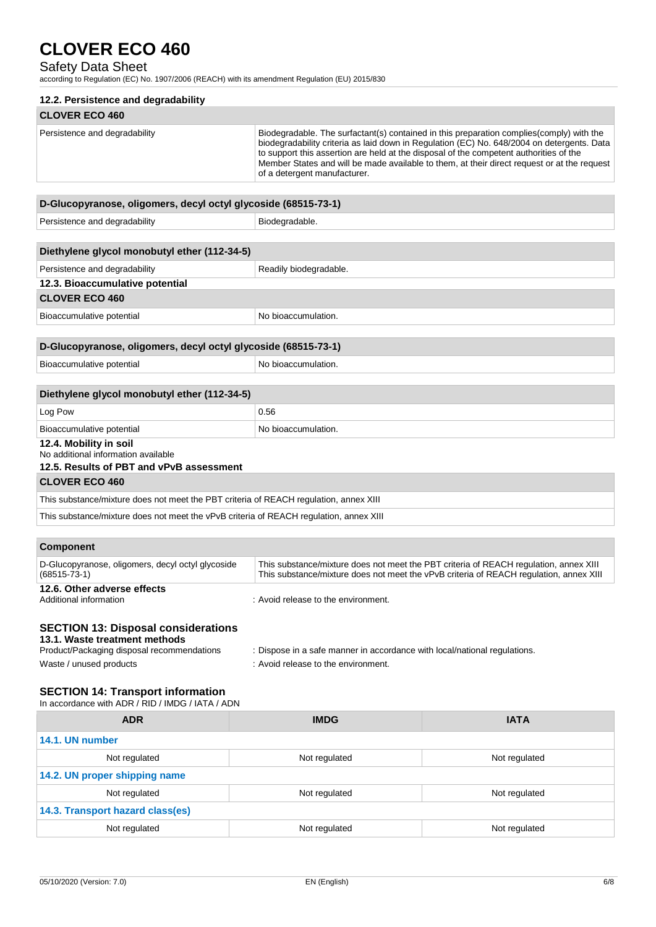## Safety Data Sheet

according to Regulation (EC) No. 1907/2006 (REACH) with its amendment Regulation (EU) 2015/830

| 12.2. Persistence and degradability |                                                                                                                                                                                                                                                                                                                                                                                                                  |  |
|-------------------------------------|------------------------------------------------------------------------------------------------------------------------------------------------------------------------------------------------------------------------------------------------------------------------------------------------------------------------------------------------------------------------------------------------------------------|--|
| <b>CLOVER ECO 460</b>               |                                                                                                                                                                                                                                                                                                                                                                                                                  |  |
| Persistence and degradability       | Biodegradable. The surfactant(s) contained in this preparation complies (comply) with the<br>biodegradability criteria as laid down in Regulation (EC) No. 648/2004 on detergents. Data<br>to support this assertion are held at the disposal of the competent authorities of the<br>Member States and will be made available to them, at their direct request or at the request<br>of a detergent manufacturer. |  |
|                                     |                                                                                                                                                                                                                                                                                                                                                                                                                  |  |

| D-Glucopyranose, oligomers, decyl octyl glycoside (68515-73-1)                         |                        |  |
|----------------------------------------------------------------------------------------|------------------------|--|
| Persistence and degradability                                                          | Biodegradable.         |  |
|                                                                                        |                        |  |
| Diethylene glycol monobutyl ether (112-34-5)                                           |                        |  |
| Persistence and degradability                                                          | Readily biodegradable. |  |
| 12.3. Bioaccumulative potential                                                        |                        |  |
| <b>CLOVER ECO 460</b>                                                                  |                        |  |
| Bioaccumulative potential                                                              | No bioaccumulation.    |  |
|                                                                                        |                        |  |
| D-Glucopyranose, oligomers, decyl octyl glycoside (68515-73-1)                         |                        |  |
| Bioaccumulative potential                                                              | No bioaccumulation.    |  |
|                                                                                        |                        |  |
| Diethylene glycol monobutyl ether (112-34-5)                                           |                        |  |
| Log Pow                                                                                | 0.56                   |  |
| Bioaccumulative potential                                                              | No bioaccumulation.    |  |
| 12.4. Mobility in soil                                                                 |                        |  |
| No additional information available<br>12.5. Results of PBT and vPvB assessment        |                        |  |
| <b>CLOVER ECO 460</b>                                                                  |                        |  |
| This substance/mixture does not meet the PBT criteria of REACH regulation, annex XIII  |                        |  |
| This substance/mixture does not meet the vPvB criteria of REACH regulation, annex XIII |                        |  |
|                                                                                        |                        |  |
| Component                                                                              |                        |  |

| <b>VUIIIDUIIGIIL</b>                                                    |                                                                                                                                                                                 |
|-------------------------------------------------------------------------|---------------------------------------------------------------------------------------------------------------------------------------------------------------------------------|
| D-Glucopyranose, oligomers, decyl octyl glycoside<br>$(68515 - 73 - 1)$ | This substance/mixture does not meet the PBT criteria of REACH regulation, annex XIII<br>This substance/mixture does not meet the vPvB criteria of REACH regulation, annex XIII |
| 12.6. Other adverse effects                                             |                                                                                                                                                                                 |
| Additional information                                                  | : Avoid release to the environment.                                                                                                                                             |

## **SECTION 13: Disposal considerations**

# **13.1. Waste treatment methods**

| Product/Packaging disposal recommendations | : Dispose in a safe manner in accordance with local/national regulations. |
|--------------------------------------------|---------------------------------------------------------------------------|
| Waste / unused products                    | : Avoid release to the environment.                                       |

#### **SECTION 14: Transport information**

In accordance with ADR / RID / IMDG / IATA / ADN

| <b>ADR</b>                       | <b>IMDG</b>   | <b>IATA</b>   |
|----------------------------------|---------------|---------------|
| 14.1. UN number                  |               |               |
| Not regulated                    | Not regulated | Not regulated |
| 14.2. UN proper shipping name    |               |               |
| Not regulated                    | Not regulated | Not regulated |
| 14.3. Transport hazard class(es) |               |               |
| Not regulated                    | Not regulated | Not regulated |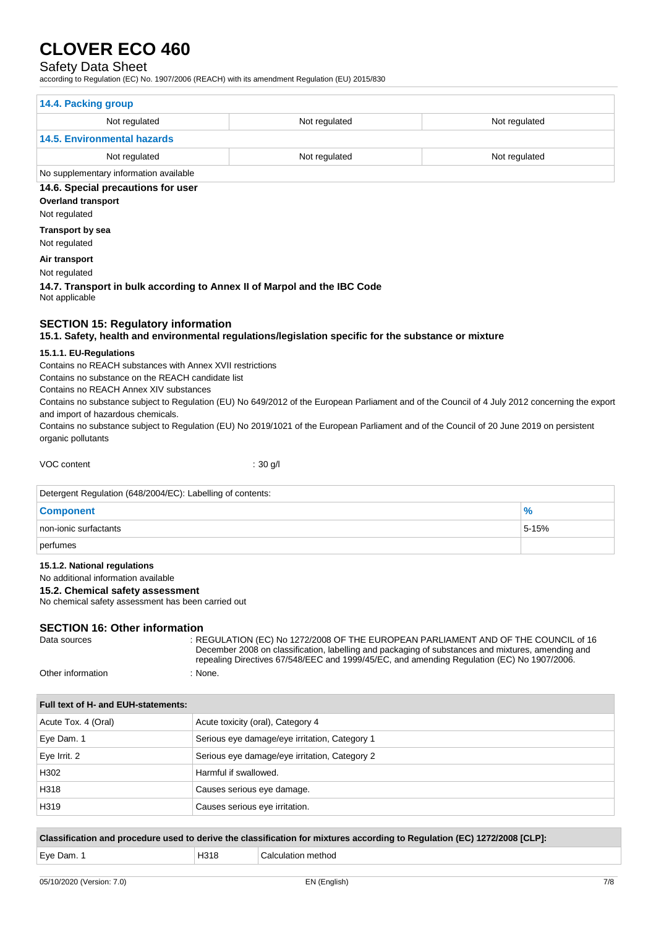### Safety Data Sheet

according to Regulation (EC) No. 1907/2006 (REACH) with its amendment Regulation (EU) 2015/830

| 14.4. Packing group                                                                         |                                                                                                      |                                                                                                                                                                                         |
|---------------------------------------------------------------------------------------------|------------------------------------------------------------------------------------------------------|-----------------------------------------------------------------------------------------------------------------------------------------------------------------------------------------|
| Not regulated                                                                               | Not regulated                                                                                        | Not regulated                                                                                                                                                                           |
| <b>14.5. Environmental hazards</b>                                                          |                                                                                                      |                                                                                                                                                                                         |
| Not regulated                                                                               | Not regulated                                                                                        | Not regulated                                                                                                                                                                           |
| No supplementary information available                                                      |                                                                                                      |                                                                                                                                                                                         |
| 14.6. Special precautions for user                                                          |                                                                                                      |                                                                                                                                                                                         |
| <b>Overland transport</b>                                                                   |                                                                                                      |                                                                                                                                                                                         |
| Not regulated<br><b>Transport by sea</b>                                                    |                                                                                                      |                                                                                                                                                                                         |
| Not regulated                                                                               |                                                                                                      |                                                                                                                                                                                         |
| Air transport                                                                               |                                                                                                      |                                                                                                                                                                                         |
| Not regulated                                                                               |                                                                                                      |                                                                                                                                                                                         |
|                                                                                             | 14.7. Transport in bulk according to Annex II of Marpol and the IBC Code                             |                                                                                                                                                                                         |
| Not applicable                                                                              |                                                                                                      |                                                                                                                                                                                         |
| <b>SECTION 15: Regulatory information</b>                                                   | 15.1. Safety, health and environmental regulations/legislation specific for the substance or mixture |                                                                                                                                                                                         |
| 15.1.1. EU-Regulations                                                                      |                                                                                                      |                                                                                                                                                                                         |
| Contains no REACH substances with Annex XVII restrictions                                   |                                                                                                      |                                                                                                                                                                                         |
| Contains no substance on the REACH candidate list<br>Contains no REACH Annex XIV substances |                                                                                                      |                                                                                                                                                                                         |
|                                                                                             |                                                                                                      | Contains no substance subject to Regulation (EU) No 649/2012 of the European Parliament and of the Council of 4 July 2012 concerning the export                                         |
| and import of hazardous chemicals.                                                          |                                                                                                      | Contains no substance subject to Regulation (EU) No 2019/1021 of the European Parliament and of the Council of 20 June 2019 on persistent                                               |
| organic pollutants                                                                          |                                                                                                      |                                                                                                                                                                                         |
|                                                                                             |                                                                                                      |                                                                                                                                                                                         |
| VOC content                                                                                 | : 30 g/l                                                                                             |                                                                                                                                                                                         |
| Detergent Regulation (648/2004/EC): Labelling of contents:                                  |                                                                                                      |                                                                                                                                                                                         |
| <b>Component</b>                                                                            |                                                                                                      | ℅                                                                                                                                                                                       |
| non-ionic surfactants                                                                       |                                                                                                      | 5-15%                                                                                                                                                                                   |
| perfumes                                                                                    |                                                                                                      |                                                                                                                                                                                         |
| 15.1.2. National regulations                                                                |                                                                                                      |                                                                                                                                                                                         |
| No additional information available                                                         |                                                                                                      |                                                                                                                                                                                         |
| 15.2. Chemical safety assessment<br>No chemical safety assessment has been carried out      |                                                                                                      |                                                                                                                                                                                         |
|                                                                                             |                                                                                                      |                                                                                                                                                                                         |
| <b>SECTION 16: Other information</b>                                                        |                                                                                                      |                                                                                                                                                                                         |
| Data sources                                                                                |                                                                                                      | : REGULATION (EC) No 1272/2008 OF THE EUROPEAN PARLIAMENT AND OF THE COUNCIL of 16<br>December 2008 on classification, labelling and packaging of substances and mixtures, amending and |
|                                                                                             |                                                                                                      | repealing Directives 67/548/EEC and 1999/45/EC, and amending Regulation (EC) No 1907/2006.                                                                                              |
| Other information                                                                           | : None.                                                                                              |                                                                                                                                                                                         |
| Full text of H- and EUH-statements:                                                         |                                                                                                      |                                                                                                                                                                                         |
| Acute Tox. 4 (Oral)                                                                         | Acute toxicity (oral), Category 4                                                                    |                                                                                                                                                                                         |
| Eye Dam. 1                                                                                  | Serious eye damage/eye irritation, Category 1                                                        |                                                                                                                                                                                         |
| Eye Irrit. 2                                                                                | Serious eye damage/eye irritation, Category 2                                                        |                                                                                                                                                                                         |
| H302                                                                                        | Harmful if swallowed.                                                                                |                                                                                                                                                                                         |
| H318                                                                                        | Causes serious eye damage.                                                                           |                                                                                                                                                                                         |
| H319                                                                                        | Causes serious eye irritation.                                                                       |                                                                                                                                                                                         |

**Classification and procedure used to derive the classification for mixtures according to Regulation (EC) 1272/2008 [CLP]:** Eye Dam. 1 **Exercise Exercise Service 2** H318 Calculation method